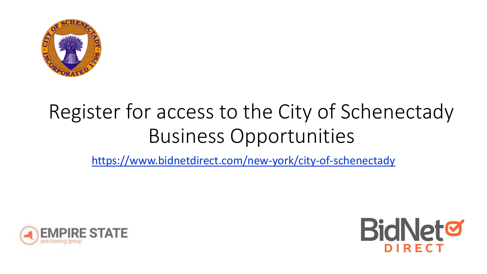

### Register for access to the City of Schenectady Business Opportunities



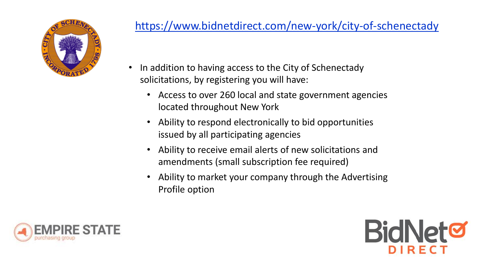

- In addition to having access to the City of Schenectady solicitations, by registering you will have:
	- Access to over 260 local and state government agencies located throughout New York
	- Ability to respond electronically to bid opportunities issued by all participating agencies
	- Ability to receive email alerts of new solicitations and amendments (small subscription fee required)
	- Ability to market your company through the Advertising Profile option



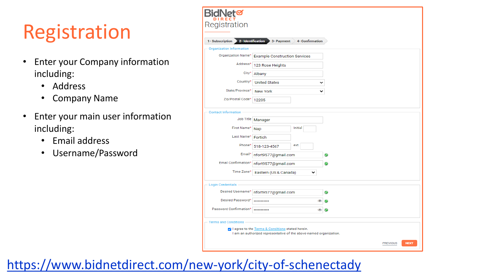## Registration

- Enter your Company information including:
	- Address
	- Company Name
- Enter your main user information including:
	- Email address
	- Username/Password

| <b>BidNet</b> ଙ                                                                                                          |                                      |                                |  |
|--------------------------------------------------------------------------------------------------------------------------|--------------------------------------|--------------------------------|--|
| Registration                                                                                                             |                                      |                                |  |
|                                                                                                                          |                                      |                                |  |
| 2- Identification<br>1- Subscription                                                                                     | 3- Payment<br><b>4- Confirmation</b> |                                |  |
| Organization Information                                                                                                 |                                      |                                |  |
| Organization Name*                                                                                                       | <b>Example Construction Services</b> |                                |  |
| Address*                                                                                                                 | 123 Rose Heights                     |                                |  |
| City*                                                                                                                    | Albany                               |                                |  |
| Country*                                                                                                                 | <b>United States</b>                 |                                |  |
| State/Province*                                                                                                          | <b>New York</b>                      | ◡                              |  |
| Zip/Postal Code*                                                                                                         | 12205                                |                                |  |
| <b>Contact Information</b>                                                                                               |                                      |                                |  |
| Job Title                                                                                                                | Manager                              |                                |  |
| First Name*                                                                                                              | Initial<br>Nap                       |                                |  |
| Last Name*                                                                                                               | Fortich                              |                                |  |
| Phone*                                                                                                                   | ext.<br>518-123-4567                 |                                |  |
| Email*                                                                                                                   | nfort9577@gmail.com                  |                                |  |
| Email Confirmation*                                                                                                      | nfort9577@gmail.com                  |                                |  |
| Time Zone*                                                                                                               | Eastern (US & Canada)<br>◡           |                                |  |
| <b>Login Credentials</b>                                                                                                 |                                      |                                |  |
| Desired Username*                                                                                                        | nfort9577@gmail.com                  |                                |  |
| Desired Password*                                                                                                        | <br>œ                                |                                |  |
| Password Confirmation*                                                                                                   |                                      |                                |  |
| <b>Terms and Conditions</b>                                                                                              |                                      |                                |  |
| a I agree to the Terms & Conditions stated herein.<br>I am an authorized representative of the above-named organization. |                                      |                                |  |
|                                                                                                                          |                                      | <b>PREVIOUS</b><br><b>NEXT</b> |  |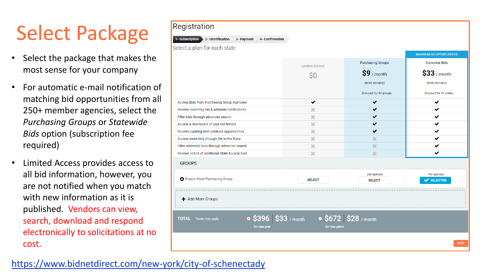## Select Package

- Select the package that makes the most sense for your company
- For automatic e-mail notification of matching bid opportunities from all 250+ member agencies, select the *Purchasing Groups* or *Statewide Bids* option (subscription fee required)
- Limited Access provides access to all bid information, however, you are not notified when you match with new information as it is published. Vendors can view, search, download and respond electronically to solicitations at no cost.

#### Registration 2- Identification 3- Payment 4- Confirmation Select a plan for each state **MAXIMUM BID OPPORTUNITIES Purchasing Groups Statewide Bids Limited Access**  $$33$  / month  $\mathbf{S9}$  / month  $\mathsf{S}0$ (billed annually) (billed annually) Discount for 3+ groups Discount for 3+ states Access Bids from Purchasing Group Agencies ✔ ✔ ✓ Receive matching bid & addenda notifications  $\mathcal{M}$ ✔ ✓ ✔  $\mathbb{R}^2$ ✓ Filter bids through advanced search  $\mathbb{R}^2$  $\checkmark$ ✔ Access a dashboard of your bid history  $\mathbb{R}^2$ ✓ ✓ Receive expiring term contract opportunities  $20<sup>2</sup>$ ✓ Access more bids through the entire State × Filter statewide bids through advanced search ×  $20<sup>2</sup>$ ✓ ✓ Receive notice of additional State & Local bids ×  $2\mathcal{E}$ **GROUPS** 230 agencies 943 agencies **3** Empire State Purchasing Group **SELECT SELECT** SELECTED + Add More Groups •  $$396$  \$33 / month • \$672 \$28 / month **TOTAL** Taxes may apply for one year for two years **NEXT**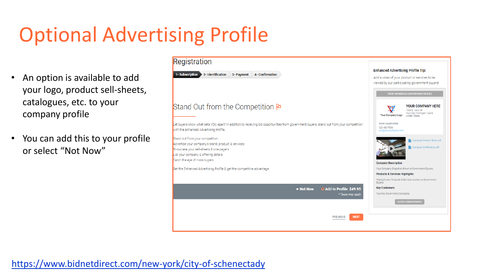## Optional Advertising Profile

- An option is available to add your logo, product sell-sheets, catalogues, etc. to your company profile
- You can add this to your profile or select "Not Now"

#### Registration **Enhanced Advertising Profile Tip:** 1- Subscription 2- Identification 3- Payment 4- Confirmation Add a video of your product or services to be viewed by our participating government buyers! Stand Out from the Competition **P YOUR COMPANY HERE** V 1234 S. Main St Your City, Michigan, 12345 Your Company Logo **United States** YOUR NAME HERE Let buyers know what sets YOU apart! In addition to receiving bid opportunities from government buyers, stand out from your competition 123-456-7890 with the Enhanced Advertising Profile. Stand out from your competition ompany Product Sheet.pdf Advertise your company's brand, product & services Company Certification.pdf Showcase your sell-sheets & one-pagers List your company & offering details Catch the eye of more buyers **Company Description** Get the Enhanced Advertising Profile & get the competitive advantage. Your Company Snapshot shown to Government Buyers. **Products & Services Highlights** Highlight your Products & Services to show to Government<br>Buvers. **Key Customers** • Not Now • Add to Profile: \$49.95 Your Key Government Contracts \* Taxes may appl **NEXT PREVIOUS**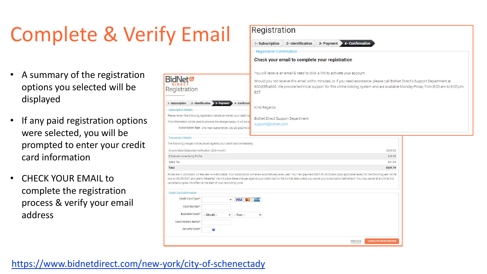## Complete & Verify Email

- A summary of the registration options you selected will be displayed
- If any paid registration options were selected, you will be prompted to enter your credit card information
- CHECK YOUR EMAIL to complete the registration process & verify your email address

|                                                                                                                                                                                                          |                                                                                                         |                     | Check your email to complete your registration                                                                                                                                                                                                                                                                                                                                                                               |  |
|----------------------------------------------------------------------------------------------------------------------------------------------------------------------------------------------------------|---------------------------------------------------------------------------------------------------------|---------------------|------------------------------------------------------------------------------------------------------------------------------------------------------------------------------------------------------------------------------------------------------------------------------------------------------------------------------------------------------------------------------------------------------------------------------|--|
| <b>BidNet@</b><br>Registration                                                                                                                                                                           |                                                                                                         |                     | You will receive an email & need to click a link to activate your account.<br>Should you not receive this email within minutes, or if you need assistance, please call BidNet Direct's Support Department at<br>800-835-4603. We provide technical support for this online bidding system and are available Monday-Friday from 8:00 am to 8:00 pm<br><b>EST</b>                                                              |  |
| 1- Subscription<br><b>Subscription Details</b><br>Please review the following registration details and enter your credit ca<br>This information will be used to process the charges below. It will be se | 2- Identification 3- Payment 4- Confirmat<br>Subscription Type One Year Subscription: (06/25/2020 to 06 |                     | Kind Regards,<br><b>BidNet Direct Support Department</b><br>support@bidnet.com                                                                                                                                                                                                                                                                                                                                               |  |
| <b>Transaction Details</b><br>The following charges will be placed against your credit card immediately.<br>Empire State Statewide Notification (\$29/month)                                             |                                                                                                         |                     | S348.00                                                                                                                                                                                                                                                                                                                                                                                                                      |  |
| Enhanced Advertising Profile                                                                                                                                                                             |                                                                                                         |                     | S49.95                                                                                                                                                                                                                                                                                                                                                                                                                       |  |
| Sales Tax                                                                                                                                                                                                |                                                                                                         |                     | S31.84                                                                                                                                                                                                                                                                                                                                                                                                                       |  |
| Total<br>cancellation goes into effect at the start of your next billing cycle.                                                                                                                          |                                                                                                         |                     | \$429.79<br>Prices are in US Dollars. All fees are non-refundable. Your subscription will renew automatically every year. Your next payment \$397.95 US Dollars (plus applicable taxes) for the following year will be<br>due on 06/25/2021 and yearly thereafter. We will place these charges against your credit card on file on that date unless you cancel your subscription beforehand. You may cancel at any time, but |  |
| <b>Credit Card Information</b>                                                                                                                                                                           |                                                                                                         |                     |                                                                                                                                                                                                                                                                                                                                                                                                                              |  |
| Credit Card Type*                                                                                                                                                                                        | $\check{~}$                                                                                             | <b>VISA CO AMEX</b> |                                                                                                                                                                                                                                                                                                                                                                                                                              |  |
| Card Number*                                                                                                                                                                                             |                                                                                                         |                     |                                                                                                                                                                                                                                                                                                                                                                                                                              |  |
| Expiration Date*                                                                                                                                                                                         | $-Month -$                                                                                              | $\vee$ - Year -     | $\checkmark$                                                                                                                                                                                                                                                                                                                                                                                                                 |  |
| Card Holder's Name*                                                                                                                                                                                      |                                                                                                         |                     |                                                                                                                                                                                                                                                                                                                                                                                                                              |  |
| Security Code*                                                                                                                                                                                           | $\bullet$                                                                                               |                     |                                                                                                                                                                                                                                                                                                                                                                                                                              |  |

PREVIOUS

2- Identification 3- Payment 4- Confirmation

Registration

**Registration Confirmation** 

1- Subscription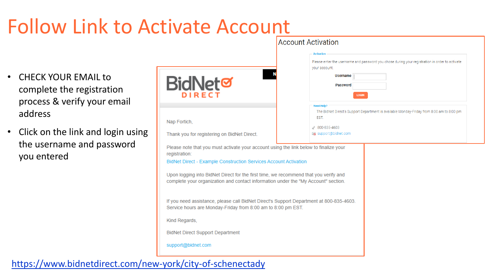# Follow Link to Activate Account

- CHECK YOUR EMAIL to complete the registration process & verify your email address
- Click on the link and login using the username and password you entered

|                                                                                         | ACCOUNT ACTIVATION                                                                                |  |
|-----------------------------------------------------------------------------------------|---------------------------------------------------------------------------------------------------|--|
|                                                                                         | <b>Activation</b>                                                                                 |  |
|                                                                                         | Please enter the username and password you chose during your registration in order to activate    |  |
|                                                                                         | your account.                                                                                     |  |
|                                                                                         | <b>Username</b>                                                                                   |  |
| <b>BidNet</b>                                                                           | <b>Password</b>                                                                                   |  |
| DIRECT                                                                                  |                                                                                                   |  |
|                                                                                         | <b>LOGIN</b>                                                                                      |  |
|                                                                                         | <b>Need Help?</b>                                                                                 |  |
|                                                                                         | The BidNet Direct's Support Department is available Monday-Friday from 8:00 am to 8:00 pm<br>EST. |  |
| Nap Fortich,                                                                            |                                                                                                   |  |
|                                                                                         | 2800-835-4603                                                                                     |  |
| Thank you for registering on BidNet Direct.                                             | support@bidnet.com                                                                                |  |
| Please note that you must activate your account using the link below to finalize your   |                                                                                                   |  |
| registration:                                                                           |                                                                                                   |  |
| BidNet Direct - Example Construction Services Account Activation                        |                                                                                                   |  |
|                                                                                         |                                                                                                   |  |
| Upon logging into BidNet Direct for the first time, we recommend that you verify and    |                                                                                                   |  |
| complete your organization and contact information under the "My Account" section.      |                                                                                                   |  |
|                                                                                         |                                                                                                   |  |
| If you need assistance, please call BidNet Direct's Support Department at 800-835-4603. |                                                                                                   |  |
| Service hours are Monday-Friday from 8:00 am to 8:00 pm EST.                            |                                                                                                   |  |
|                                                                                         |                                                                                                   |  |
| Kind Regards,                                                                           |                                                                                                   |  |
| <b>BidNet Direct Support Department</b>                                                 |                                                                                                   |  |
|                                                                                         |                                                                                                   |  |
| support@bidnet.com                                                                      |                                                                                                   |  |
|                                                                                         |                                                                                                   |  |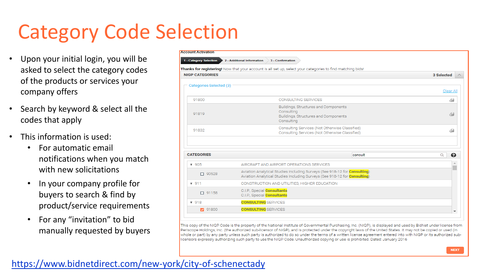### Category Code Selection

- Upon your initial login, you will be asked to select the category codes of the products or services your company offers
- Search by keyword & select all the codes that apply
- This information is used:
	- For automatic email notifications when you match with new solicitations
	- In your company profile for buyers to search & find by product/service requirements
	- For any "invitation" to bid manually requested by buyers

| <b>ccount Activation</b> |                                                                                                                                                        |               |
|--------------------------|--------------------------------------------------------------------------------------------------------------------------------------------------------|---------------|
| 1 - Category Selection   | 2 - Additional Information<br>3 - Confirmation                                                                                                         |               |
|                          | hanks for registering! Now that your account is all set up, select your categories to find matching bids!                                              |               |
| <b>NIGP CATEGORIES</b>   |                                                                                                                                                        | 3 Selected    |
| Categories Selected (3)  |                                                                                                                                                        |               |
|                          |                                                                                                                                                        | Clear All     |
| 91800                    | <b>CONSULTING SERVICES</b>                                                                                                                             | 6             |
| 91819                    | Buildings, Structures and Components<br>Consulting<br>Buildings, Structures and Components                                                             | 60            |
| 91832                    | Consulting<br>Consulting Services (Not Otherwise Classified)<br>Consulting Services (Not Otherwise Classified)                                         | 60            |
| <b>CATEGORIES</b>        | consult                                                                                                                                                | $\alpha$<br>❸ |
| $\Psi$ 905               | AIRCRAFT AND AIRPORT OPERATIONS SERVICES                                                                                                               | 스             |
| $\Box$ 90528             | Aviation Analytical Studies Including Surveys (See 918-12 for Consulting)<br>Aviation Analytical Studies Including Surveys (See 918-12 for Consulting) |               |
| 7911                     | CONSTRUCTION AND UTILITIES, HIGHER EDUCATION                                                                                                           |               |
| □ 91158                  | C.I.P., Special <b>Consultants</b><br>C.I.P., Special <b>Consultants</b>                                                                               |               |
| $\sqrt{918}$             | <b>CONSULTING</b> SERVICES                                                                                                                             |               |
| ◘ 91800                  | <b>CONSULTING</b> SERVICES                                                                                                                             | ▼             |

This copy of the NIGP Code is the property of the National Institute of Governmental Purchasing, Inc. (NIGP), is displayed and used by BidNet under license from Periscope Holdings, Inc. (the authorized sub-licensor of NIGP), and is protected under the copyright laws of the United States. It may not be copied or used (in whole or part) by any party unless such party is authorized to do so under the terms of a written license agreement entered into with NIGP or its authorized subicensors expressly authorizing such party to use the NIGP Code. Unauthorized copying or use is prohibited. Dated: January 2016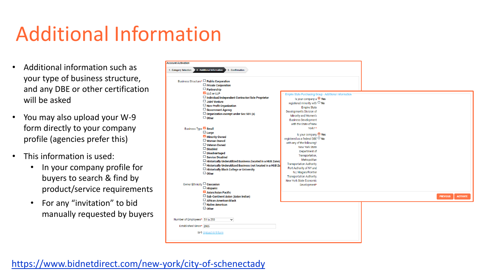### Additional Information

- Additional information such as your type of business structure, and any DBE or other certification will be asked
- You may also upload your W-9 form directly to your company profile (agencies prefer this)
- This information is used:
	- In your company profile for buyers to search & find by product/service requirements
	- For any "invitation" to bid manually requested by buyers

| <b>Account Activation</b><br>2 - Additional Information<br>1 - Category Selection<br>3 - Confirmation                                                                                                                                                                                                                                                                                             |                                                                                                                                                                                                                                                                                                                                 |                                    |
|---------------------------------------------------------------------------------------------------------------------------------------------------------------------------------------------------------------------------------------------------------------------------------------------------------------------------------------------------------------------------------------------------|---------------------------------------------------------------------------------------------------------------------------------------------------------------------------------------------------------------------------------------------------------------------------------------------------------------------------------|------------------------------------|
| Business Structure <sup>*</sup> □ Public Corporation<br>$\Box$ Private Corporation<br>$\Box$ Partnership<br>LLC or LLP<br>□ Individual/Independent Contractor/Sole Proprietor<br>$\Box$ Joint Venture<br>$\Box$ Non-Profit Organization<br>$\Box$ Government Agency<br>$\Box$ Organization exempt under Sec 501 (a)<br>$\Box$ Other<br>Business Type <b>Small</b>                                 | Empire State Purchasing Group - Additional Information<br>Is your company a $\bullet$ Yes<br>registered minority with $\Box$ No<br><b>Empire State</b><br>Development's Division of<br>Minority and Women's<br><b>Business Development</b><br>with the State of New<br>York?*                                                   |                                    |
| $\Box$ Large<br>Minority Owned<br>$\Box$ Woman Owned<br>$\Box$ Veteran Owned<br>$\Box$ Disabled<br>$\Box$ Disadvantaged<br>$\Box$ Service Disabled<br>$\Box$ Historically Underutilized Business (located in a HUB Zone)<br>$\Box$ Historically Underutilized Business (not located in a HUB Zo<br>□ Historically Black College or University<br>$\Box$ Other<br>Owner Ethnicity $\Box$ Caucasian | Is your company <sup>O</sup> Yes<br>registered as a federal DBE O No<br>with any of the following?<br>New York State<br>Department of<br>Transportation,<br>Metropolitan<br><b>Transportation Authority,</b><br>Port Authority of NY and<br>NJ, Niagara Frontier<br><b>Transportation Authority,</b><br>New York State Economic |                                    |
| $\Box$ Hispanic<br>Asian/Asian Pacific<br>$\Box$ Sub-Continent Asian (Asian Indian)<br>African American/Black<br>$\Box$ Native American<br>$\Box$ Other                                                                                                                                                                                                                                           | Development*                                                                                                                                                                                                                                                                                                                    | <b>PREVIOUS</b><br><b>ACTIVATE</b> |
| Number of Employees* 51 to 250<br>$\checkmark$<br>Established Since* 2005<br>W-9 Upload W-9 form                                                                                                                                                                                                                                                                                                  |                                                                                                                                                                                                                                                                                                                                 |                                    |